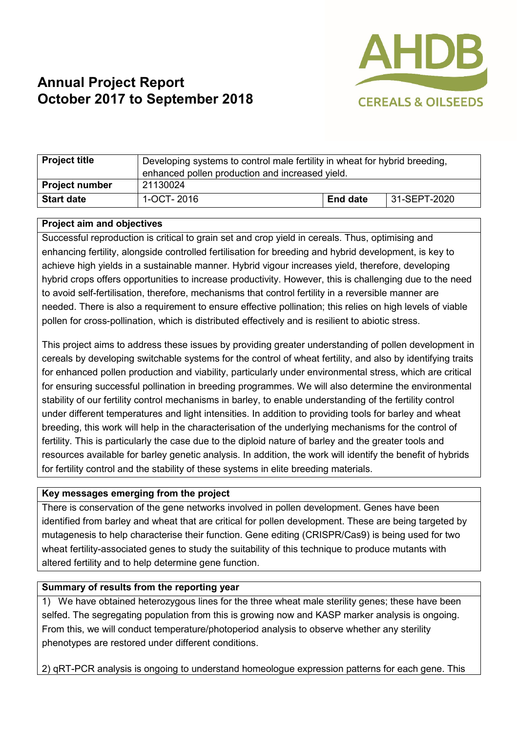

# **Annual Project Report October 2017 to September 2018**

| <b>Project title</b>  | Developing systems to control male fertility in wheat for hybrid breeding,<br>enhanced pollen production and increased yield. |                 |              |
|-----------------------|-------------------------------------------------------------------------------------------------------------------------------|-----------------|--------------|
| <b>Project number</b> | 21130024                                                                                                                      |                 |              |
| <b>Start date</b>     | 1-OCT-2016                                                                                                                    | <b>End date</b> | 31-SEPT-2020 |

#### **Project aim and objectives**

Successful reproduction is critical to grain set and crop yield in cereals. Thus, optimising and enhancing fertility, alongside controlled fertilisation for breeding and hybrid development, is key to achieve high yields in a sustainable manner. Hybrid vigour increases yield, therefore, developing hybrid crops offers opportunities to increase productivity. However, this is challenging due to the need to avoid self-fertilisation, therefore, mechanisms that control fertility in a reversible manner are needed. There is also a requirement to ensure effective pollination; this relies on high levels of viable pollen for cross-pollination, which is distributed effectively and is resilient to abiotic stress.

This project aims to address these issues by providing greater understanding of pollen development in cereals by developing switchable systems for the control of wheat fertility, and also by identifying traits for enhanced pollen production and viability, particularly under environmental stress, which are critical for ensuring successful pollination in breeding programmes. We will also determine the environmental stability of our fertility control mechanisms in barley, to enable understanding of the fertility control under different temperatures and light intensities. In addition to providing tools for barley and wheat breeding, this work will help in the characterisation of the underlying mechanisms for the control of fertility. This is particularly the case due to the diploid nature of barley and the greater tools and resources available for barley genetic analysis. In addition, the work will identify the benefit of hybrids for fertility control and the stability of these systems in elite breeding materials.

### **Key messages emerging from the project**

There is conservation of the gene networks involved in pollen development. Genes have been identified from barley and wheat that are critical for pollen development. These are being targeted by mutagenesis to help characterise their function. Gene editing (CRISPR/Cas9) is being used for two wheat fertility-associated genes to study the suitability of this technique to produce mutants with altered fertility and to help determine gene function.

### **Summary of results from the reporting year**

1) We have obtained heterozygous lines for the three wheat male sterility genes; these have been selfed. The segregating population from this is growing now and KASP marker analysis is ongoing. From this, we will conduct temperature/photoperiod analysis to observe whether any sterility phenotypes are restored under different conditions.

2) qRT-PCR analysis is ongoing to understand homeologue expression patterns for each gene. This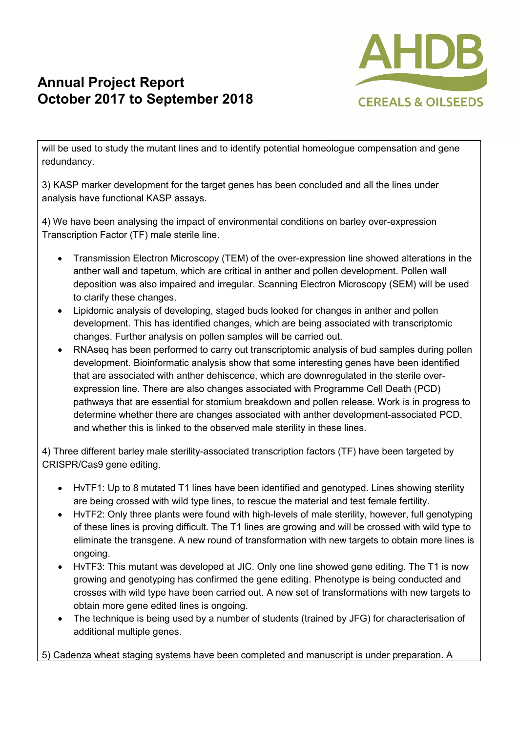## **Annual Project Report October 2017 to September 2018**



will be used to study the mutant lines and to identify potential homeologue compensation and gene redundancy.

3) KASP marker development for the target genes has been concluded and all the lines under analysis have functional KASP assays.

4) We have been analysing the impact of environmental conditions on barley over-expression Transcription Factor (TF) male sterile line.

- Transmission Electron Microscopy (TEM) of the over-expression line showed alterations in the anther wall and tapetum, which are critical in anther and pollen development. Pollen wall deposition was also impaired and irregular. Scanning Electron Microscopy (SEM) will be used to clarify these changes.
- Lipidomic analysis of developing, staged buds looked for changes in anther and pollen development. This has identified changes, which are being associated with transcriptomic changes. Further analysis on pollen samples will be carried out.
- RNAseq has been performed to carry out transcriptomic analysis of bud samples during pollen development. Bioinformatic analysis show that some interesting genes have been identified that are associated with anther dehiscence, which are downregulated in the sterile overexpression line. There are also changes associated with Programme Cell Death (PCD) pathways that are essential for stomium breakdown and pollen release. Work is in progress to determine whether there are changes associated with anther development-associated PCD, and whether this is linked to the observed male sterility in these lines.

4) Three different barley male sterility-associated transcription factors (TF) have been targeted by CRISPR/Cas9 gene editing.

- HvTF1: Up to 8 mutated T1 lines have been identified and genotyped. Lines showing sterility are being crossed with wild type lines, to rescue the material and test female fertility.
- HvTF2: Only three plants were found with high-levels of male sterility, however, full genotyping of these lines is proving difficult. The T1 lines are growing and will be crossed with wild type to eliminate the transgene. A new round of transformation with new targets to obtain more lines is ongoing.
- HvTF3: This mutant was developed at JIC. Only one line showed gene editing. The T1 is now growing and genotyping has confirmed the gene editing. Phenotype is being conducted and crosses with wild type have been carried out. A new set of transformations with new targets to obtain more gene edited lines is ongoing.
- The technique is being used by a number of students (trained by JFG) for characterisation of additional multiple genes.

5) Cadenza wheat staging systems have been completed and manuscript is under preparation. A